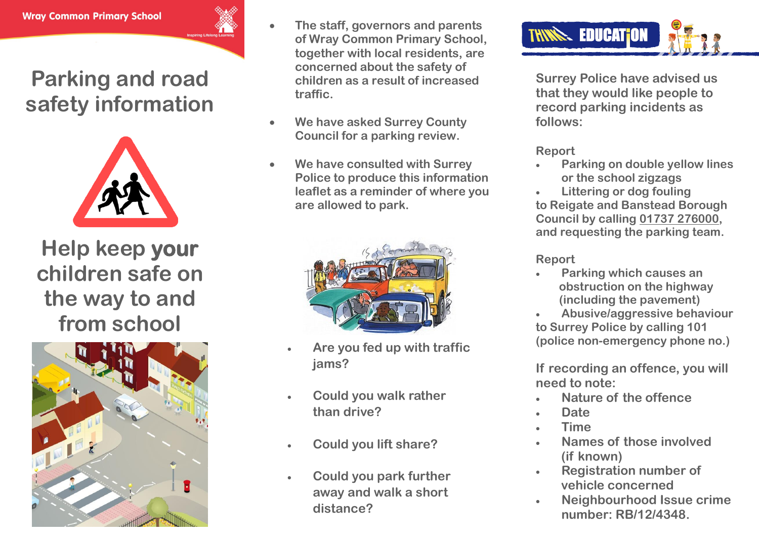### **Parking and road safety information**



**Help keep your children safe on the way to and from school**



- **The staff, governors and parents of Wray Common Primary School, together with local residents, are concerned about the safety of children as a result of increased traffic.**
- **We have asked Surrey County Council for a parking review.**
- **We have consulted with Surrey Police to produce this information leaflet as a reminder of where you are allowed to park.**



- **Are you fed up with traffic jams?**
- **Could you walk rather than drive?**
- **Could you lift share?**
- **Could you park further away and walk a short distance?**



**Surrey Police have advised us that they would like people to record parking incidents as follows:**

### **Report**

- **Parking on double yellow lines or the school zigzags**
- **Littering or dog fouling to Reigate and Banstead Borough Council by calling 01737 276000, and requesting the parking team.**

**Report**

- **Parking which causes an obstruction on the highway (including the pavement)**
- **Abusive/aggressive behaviour to Surrey Police by calling 101 (police non-emergency phone no.)**

**If recording an offence, you will need to note:**

- **Nature of the offence**
- **Date**
- **Time**
- **Names of those involved (if known)**
- **Registration number of vehicle concerned**
- **Neighbourhood Issue crime number: RB/12/4348.**